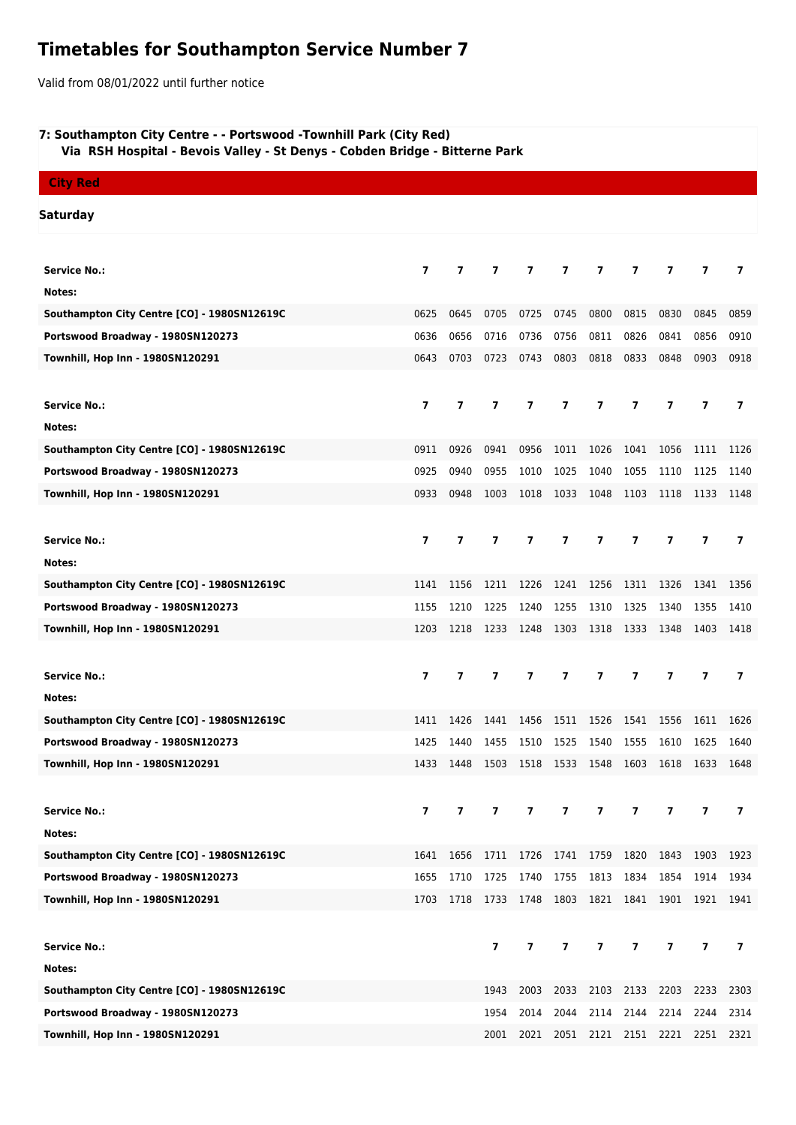# **Timetables for Southampton Service Number 7**

Valid from 08/01/2022 until further notice

## **7: Southampton City Centre - - Portswood -Townhill Park (City Red)**

 **Via RSH Hospital - Bevois Valley - St Denys - Cobden Bridge - Bitterne Park**

| <b>City Red</b>                             |                         |                |                |                          |                         |                               |                         |                |                |                          |
|---------------------------------------------|-------------------------|----------------|----------------|--------------------------|-------------------------|-------------------------------|-------------------------|----------------|----------------|--------------------------|
| <b>Saturday</b>                             |                         |                |                |                          |                         |                               |                         |                |                |                          |
| <b>Service No.:</b>                         | $\overline{\mathbf{z}}$ | $\overline{7}$ | $\overline{ }$ | $\overline{\phantom{a}}$ | $\overline{ }$          | 7                             | 7                       | $\overline{7}$ | $\overline{7}$ | 7                        |
| Notes:                                      |                         |                |                |                          |                         |                               |                         |                |                |                          |
| Southampton City Centre [CO] - 1980SN12619C | 0625                    | 0645           | 0705           | 0725                     | 0745                    | 0800                          | 0815                    | 0830           | 0845           | 0859                     |
| Portswood Broadway - 1980SN120273           | 0636                    | 0656           | 0716           | 0736                     | 0756                    | 0811                          | 0826                    | 0841           | 0856           | 0910                     |
| Townhill, Hop Inn - 1980SN120291            | 0643                    | 0703           | 0723           | 0743                     | 0803                    | 0818                          | 0833                    | 0848           | 0903           | 0918                     |
|                                             |                         |                |                |                          |                         |                               |                         |                |                |                          |
| <b>Service No.:</b>                         | $\overline{ }$          | $\overline{ }$ | 7              | $\overline{\phantom{a}}$ | $\overline{ }$          | $\overline{7}$                | $\overline{7}$          | $\overline{7}$ | $\overline{7}$ | $\overline{ }$           |
| Notes:                                      |                         |                |                |                          |                         |                               |                         |                |                |                          |
| Southampton City Centre [CO] - 1980SN12619C | 0911                    | 0926           | 0941           | 0956                     | 1011                    | 1026                          | 1041                    | 1056           | 1111           | 1126                     |
| Portswood Broadway - 1980SN120273           | 0925                    | 0940           | 0955           | 1010                     | 1025                    | 1040                          | 1055                    | 1110           | 1125           | 1140                     |
| Townhill, Hop Inn - 1980SN120291            | 0933                    | 0948           | 1003           | 1018                     | 1033                    | 1048                          | 1103                    | 1118           | 1133           | 1148                     |
|                                             |                         |                |                |                          |                         |                               |                         |                |                |                          |
| <b>Service No.:</b>                         | $\overline{7}$          | $\overline{7}$ | $\overline{7}$ | $\overline{7}$           | $\overline{ }$          | $\overline{7}$                | $\overline{7}$          | $\overline{7}$ | $\overline{7}$ | $\overline{ }$           |
| Notes:                                      |                         |                |                |                          |                         |                               |                         |                |                |                          |
| Southampton City Centre [CO] - 1980SN12619C | 1141                    | 1156           | 1211           | 1226                     | 1241                    | 1256                          | 1311                    | 1326           | 1341           | 1356                     |
| Portswood Broadway - 1980SN120273           | 1155                    | 1210           | 1225           | 1240                     | 1255                    | 1310                          | 1325                    | 1340           | 1355           | 1410                     |
| Townhill, Hop Inn - 1980SN120291            | 1203                    | 1218           | 1233           | 1248                     | 1303                    | 1318                          | 1333                    | 1348           | 1403           | 1418                     |
|                                             |                         |                |                |                          |                         |                               |                         |                |                |                          |
| <b>Service No.:</b>                         | 7                       | $\overline{ }$ | $\overline{ }$ | 7                        | $\overline{ }$          | $\overline{\mathbf{z}}$       | $\overline{7}$          | $\overline{ }$ | $\overline{7}$ | 7                        |
| Notes:                                      |                         |                |                |                          |                         |                               |                         |                |                |                          |
| Southampton City Centre [CO] - 1980SN12619C | 1411                    | 1426           | 1441           | 1456                     | 1511                    | 1526                          | 1541                    | 1556           | 1611           | 1626                     |
| Portswood Broadway - 1980SN120273           | 1425                    | 1440           | 1455           | 1510                     | 1525                    | 1540                          | 1555                    | 1610           | 1625           | 1640                     |
| Townhill, Hop Inn - 1980SN120291            | 1433                    | 1448           | 1503           | 1518                     | 1533                    | 1548                          | 1603                    | 1618           | 1633           | 1648                     |
|                                             |                         |                |                |                          |                         |                               |                         |                |                |                          |
| <b>Service No.:</b>                         | $\overline{\mathbf{z}}$ | $\overline{7}$ | $\overline{ }$ | $\overline{7}$           | 7                       | 7                             | $\overline{7}$          | 7              | $\overline{7}$ | $\overline{ }$           |
| Notes:                                      |                         |                |                |                          |                         |                               |                         |                |                |                          |
| Southampton City Centre [CO] - 1980SN12619C | 1641                    |                |                |                          |                         | 1656 1711 1726 1741 1759 1820 |                         |                | 1843 1903      | 1923                     |
| Portswood Broadway - 1980SN120273           | 1655                    | 1710           | 1725           | 1740                     | 1755                    | 1813                          | 1834                    | 1854           | 1914           | 1934                     |
| Townhill, Hop Inn - 1980SN120291            | 1703                    | 1718           | 1733           | 1748                     | 1803                    | 1821                          | 1841                    | 1901           | 1921           | 1941                     |
|                                             |                         |                |                |                          |                         |                               |                         |                |                |                          |
| <b>Service No.:</b>                         |                         |                | $\overline{7}$ | $\overline{7}$           | $\overline{\mathbf{z}}$ | $\overline{7}$                | $\overline{\mathbf{z}}$ | $\overline{7}$ | $\overline{7}$ | $\overline{\phantom{a}}$ |
| Notes:                                      |                         |                |                |                          |                         |                               |                         |                |                |                          |
| Southampton City Centre [CO] - 1980SN12619C |                         |                | 1943           | 2003                     | 2033                    | 2103                          | 2133                    | 2203           | 2233           | 2303                     |
| Portswood Broadway - 1980SN120273           |                         |                | 1954           | 2014                     | 2044                    | 2114                          | 2144                    | 2214           | 2244           | 2314                     |
| Townhill, Hop Inn - 1980SN120291            |                         |                | 2001           | 2021                     |                         |                               | 2051 2121 2151          | 2221           | 2251           | 2321                     |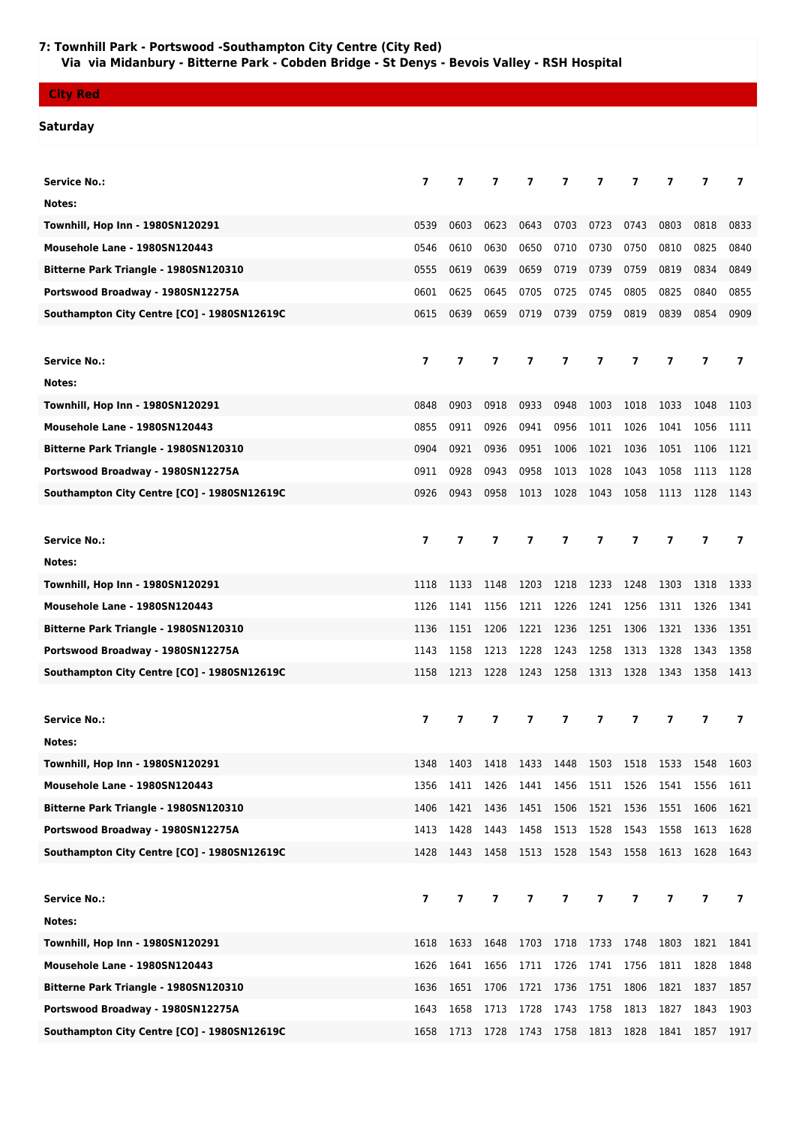## **7: Townhill Park - Portswood -Southampton City Centre (City Red) Via via Midanbury - Bitterne Park - Cobden Bridge - St Denys - Bevois Valley - RSH Hospital**

### **City Red**

### **Saturday**

| <b>Service No.:</b>                         | $\overline{ }$           | $\overline{\phantom{a}}$ | 7                       | 7                       | 7                        | 7              | $\overline{ }$ | 7                        | 7                        | 7                        |
|---------------------------------------------|--------------------------|--------------------------|-------------------------|-------------------------|--------------------------|----------------|----------------|--------------------------|--------------------------|--------------------------|
| Notes:                                      |                          |                          |                         |                         |                          |                |                |                          |                          |                          |
| Townhill, Hop Inn - 1980SN120291            | 0539                     | 0603                     | 0623                    | 0643                    | 0703                     | 0723           | 0743           | 0803                     | 0818                     | 0833                     |
| Mousehole Lane - 1980SN120443               | 0546                     | 0610                     | 0630                    | 0650                    | 0710                     | 0730           | 0750           | 0810                     | 0825                     | 0840                     |
| Bitterne Park Triangle - 1980SN120310       | 0555                     | 0619                     | 0639                    | 0659                    | 0719                     | 0739           | 0759           | 0819                     | 0834                     | 0849                     |
| Portswood Broadway - 1980SN12275A           | 0601                     | 0625                     | 0645                    | 0705                    | 0725                     | 0745           | 0805           | 0825                     | 0840                     | 0855                     |
| Southampton City Centre [CO] - 1980SN12619C | 0615                     | 0639                     | 0659                    | 0719                    | 0739                     | 0759           | 0819           | 0839                     | 0854                     | 0909                     |
|                                             |                          |                          |                         |                         |                          |                |                |                          |                          |                          |
| <b>Service No.:</b>                         | $\overline{\phantom{a}}$ | $\overline{ }$           | $\overline{\mathbf{z}}$ | $\overline{\mathbf{z}}$ | 7                        | 7              | $\overline{ }$ | $\overline{\phantom{a}}$ | $\overline{\phantom{a}}$ | 7                        |
| Notes:                                      |                          |                          |                         |                         |                          |                |                |                          |                          |                          |
| Townhill, Hop Inn - 1980SN120291            | 0848                     | 0903                     | 0918                    | 0933                    | 0948                     | 1003           | 1018           | 1033                     | 1048                     | 1103                     |
| Mousehole Lane - 1980SN120443               | 0855                     | 0911                     | 0926                    | 0941                    | 0956                     | 1011           | 1026           | 1041                     | 1056                     | 1111                     |
| Bitterne Park Triangle - 1980SN120310       | 0904                     | 0921                     | 0936                    | 0951                    | 1006                     | 1021           | 1036           | 1051                     | 1106                     | 1121                     |
| Portswood Broadway - 1980SN12275A           | 0911                     | 0928                     | 0943                    | 0958                    | 1013                     | 1028           | 1043           | 1058                     | 1113                     | 1128                     |
| Southampton City Centre [CO] - 1980SN12619C | 0926                     | 0943                     | 0958                    | 1013                    | 1028                     | 1043           | 1058           | 1113                     | 1128                     | 1143                     |
|                                             |                          |                          |                         |                         |                          |                |                |                          |                          |                          |
| <b>Service No.:</b>                         | $\overline{ }$           | $\overline{7}$           | $\overline{7}$          | 7                       | 7                        | 7              | 7              | 7                        | $\overline{\phantom{a}}$ | 7                        |
| Notes:                                      |                          |                          |                         |                         |                          |                |                |                          |                          |                          |
| Townhill, Hop Inn - 1980SN120291            | 1118                     | 1133                     | 1148                    | 1203                    | 1218                     | 1233           | 1248           | 1303                     | 1318                     | 1333                     |
| Mousehole Lane - 1980SN120443               | 1126                     | 1141                     | 1156                    | 1211                    | 1226                     | 1241           | 1256           | 1311                     | 1326                     | 1341                     |
| Bitterne Park Triangle - 1980SN120310       | 1136                     | 1151                     | 1206                    | 1221                    | 1236                     | 1251           | 1306           | 1321                     | 1336                     | 1351                     |
| Portswood Broadway - 1980SN12275A           | 1143                     | 1158                     | 1213                    | 1228                    | 1243                     | 1258           | 1313           | 1328                     | 1343                     | 1358                     |
| Southampton City Centre [CO] - 1980SN12619C | 1158                     | 1213                     | 1228                    | 1243                    | 1258                     | 1313           | 1328           | 1343                     | 1358                     | 1413                     |
|                                             |                          |                          |                         |                         |                          |                |                |                          |                          |                          |
| <b>Service No.:</b>                         | 7                        | 7                        | 7                       | 7                       | 7                        | 7              | 7              | 7                        | 7                        | 7                        |
| Notes:                                      |                          |                          |                         |                         |                          |                |                |                          |                          |                          |
| Townhill, Hop Inn - 1980SN120291            | 1348                     | 1403                     | 1418                    | 1433                    | 1448                     | 1503           | 1518           | 1533                     | 1548                     | 1603                     |
| Mousehole Lane - 1980SN120443               | 1356                     | 1411                     | 1426                    | 1441                    | 1456                     | 1511           | 1526           | 1541                     | 1556                     | 1611                     |
| Bitterne Park Triangle - 1980SN120310       | 1406                     | 1421                     | 1436                    | 1451                    | 1506                     | 1521           | 1536           | 1551                     | 1606                     | 1621                     |
| Portswood Broadway - 1980SN12275A           | 1413                     | 1428                     | 1443                    | 1458                    | 1513                     | 1528           | 1543           | 1558                     | 1613                     | 1628                     |
| Southampton City Centre [CO] - 1980SN12619C | 1428                     | 1443                     | 1458                    | 1513                    | 1528                     | 1543           | 1558           | 1613                     | 1628                     | 1643                     |
|                                             |                          |                          |                         |                         |                          |                |                |                          |                          |                          |
| <b>Service No.:</b>                         | $\overline{\mathbf{z}}$  | $\overline{\mathbf{z}}$  | 7                       | $\overline{7}$          | $\overline{7}$           | $\overline{7}$ | $\overline{7}$ | $\overline{ }$           | $\overline{7}$           | $\overline{\phantom{a}}$ |
| Notes:                                      |                          |                          |                         |                         |                          |                |                |                          |                          |                          |
| Townhill, Hop Inn - 1980SN120291            | 1618                     | 1633                     | 1648                    | 1703                    | 1718                     | 1733           | 1748           | 1803                     | 1821                     | 1841                     |
| Mousehole Lane - 1980SN120443               | 1626                     | 1641                     | 1656                    | 1711                    | 1726                     | 1741           | 1756           | 1811                     | 1828                     | 1848                     |
| Bitterne Park Triangle - 1980SN120310       | 1636                     | 1651                     | 1706                    | 1721                    | 1736                     | 1751           | 1806           | 1821                     | 1837                     | 1857                     |
| Portswood Broadway - 1980SN12275A           | 1643                     | 1658                     | 1713                    | 1728                    | 1743                     | 1758           | 1813           | 1827                     | 1843                     | 1903                     |
| Southampton City Centre [CO] - 1980SN12619C | 1658                     | 1713                     |                         |                         | 1728 1743 1758 1813 1828 |                |                | 1841                     | 1857                     | 1917                     |